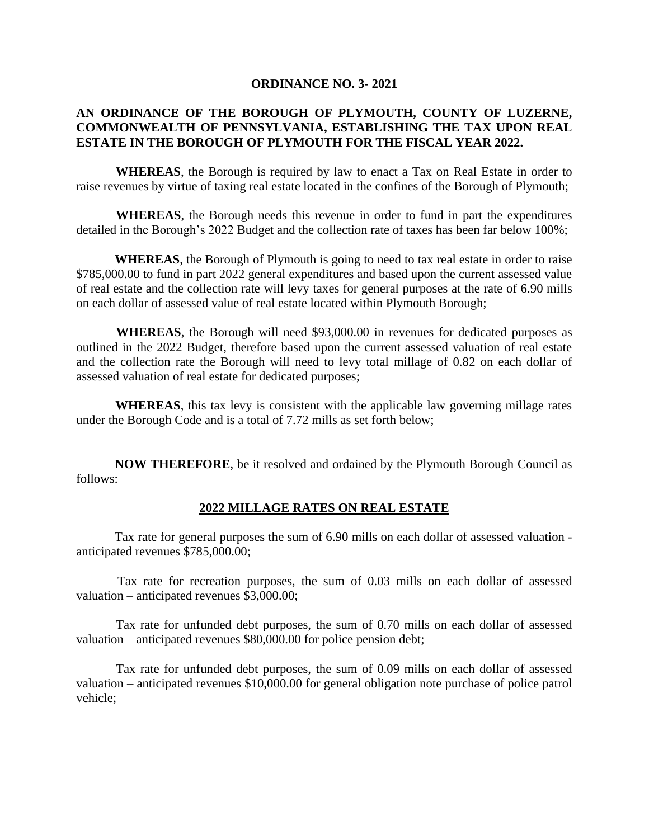## **ORDINANCE NO. 3- 2021**

## **AN ORDINANCE OF THE BOROUGH OF PLYMOUTH, COUNTY OF LUZERNE, COMMONWEALTH OF PENNSYLVANIA, ESTABLISHING THE TAX UPON REAL ESTATE IN THE BOROUGH OF PLYMOUTH FOR THE FISCAL YEAR 2022.**

 **WHEREAS**, the Borough is required by law to enact a Tax on Real Estate in order to raise revenues by virtue of taxing real estate located in the confines of the Borough of Plymouth;

 **WHEREAS**, the Borough needs this revenue in order to fund in part the expenditures detailed in the Borough's 2022 Budget and the collection rate of taxes has been far below 100%;

 **WHEREAS**, the Borough of Plymouth is going to need to tax real estate in order to raise \$785,000.00 to fund in part 2022 general expenditures and based upon the current assessed value of real estate and the collection rate will levy taxes for general purposes at the rate of 6.90 mills on each dollar of assessed value of real estate located within Plymouth Borough;

 **WHEREAS**, the Borough will need \$93,000.00 in revenues for dedicated purposes as outlined in the 2022 Budget, therefore based upon the current assessed valuation of real estate and the collection rate the Borough will need to levy total millage of 0.82 on each dollar of assessed valuation of real estate for dedicated purposes;

 **WHEREAS**, this tax levy is consistent with the applicable law governing millage rates under the Borough Code and is a total of 7.72 mills as set forth below;

 **NOW THEREFORE**, be it resolved and ordained by the Plymouth Borough Council as follows:

## **2022 MILLAGE RATES ON REAL ESTATE**

 Tax rate for general purposes the sum of 6.90 mills on each dollar of assessed valuation anticipated revenues \$785,000.00;

 Tax rate for recreation purposes, the sum of 0.03 mills on each dollar of assessed valuation – anticipated revenues \$3,000.00;

 Tax rate for unfunded debt purposes, the sum of 0.70 mills on each dollar of assessed valuation – anticipated revenues \$80,000.00 for police pension debt;

 Tax rate for unfunded debt purposes, the sum of 0.09 mills on each dollar of assessed valuation – anticipated revenues \$10,000.00 for general obligation note purchase of police patrol vehicle;